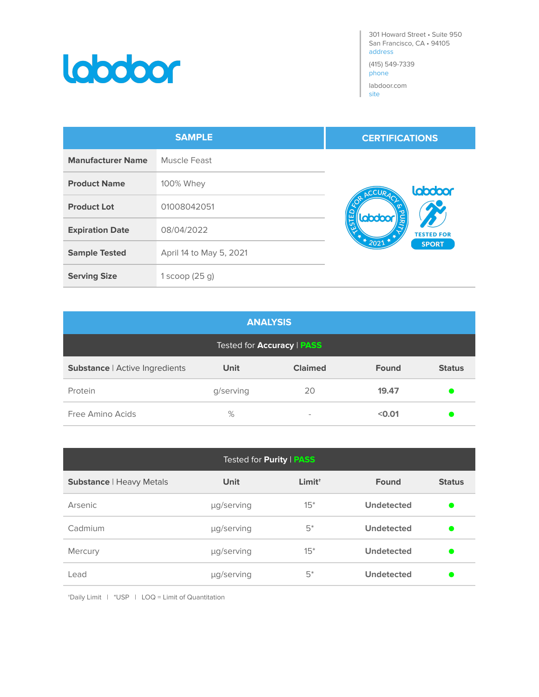

301 Howard Street • Suite 950 San Francisco, CA • 94105 address

(415) 549-7339 phone

labdoor.com site

| <b>SAMPLE</b>            |                         | <b>CERTIFICATIONS</b>               |
|--------------------------|-------------------------|-------------------------------------|
| <b>Manufacturer Name</b> | Muscle Feast            |                                     |
| <b>Product Name</b>      | 100% Whey               | labdoor<br>ACCURAC                  |
| <b>Product Lot</b>       | 01008042051             |                                     |
| <b>Expiration Date</b>   | 08/04/2022              | <b>Labdoor</b><br><b>TESTED FOR</b> |
| <b>Sample Tested</b>     | April 14 to May 5, 2021 | $*2021*$<br><b>SPORT</b>            |
| <b>Serving Size</b>      | $1$ scoop (25 g)        |                                     |

| <b>ANALYSIS</b>                          |             |                          |              |               |
|------------------------------------------|-------------|--------------------------|--------------|---------------|
| Tested for <b>Accuracy</b>   <b>PASS</b> |             |                          |              |               |
| Substance   Active Ingredients           | <b>Unit</b> | <b>Claimed</b>           | <b>Found</b> | <b>Status</b> |
| Protein                                  | g/serving   | 20                       | 19.47        |               |
| Free Amino Acids                         | %           | $\overline{\phantom{a}}$ | < 0.01       |               |

| Tested for <b>Purity</b>   <b>PASS</b> |             |                    |                   |               |
|----------------------------------------|-------------|--------------------|-------------------|---------------|
| <b>Substance   Heavy Metals</b>        | <b>Unit</b> | Limit <sup>+</sup> | <b>Found</b>      | <b>Status</b> |
| Arsenic                                | µg/serving  | $15*$              | <b>Undetected</b> |               |
| Cadmium                                | µg/serving  | $5^*$              | <b>Undetected</b> |               |
| Mercury                                | µg/serving  | $15*$              | Undetected        |               |
| Lead                                   | µg/serving  | $5*$               | <b>Undetected</b> |               |

†Daily Limit | \*USP | LOQ = Limit of Quantitation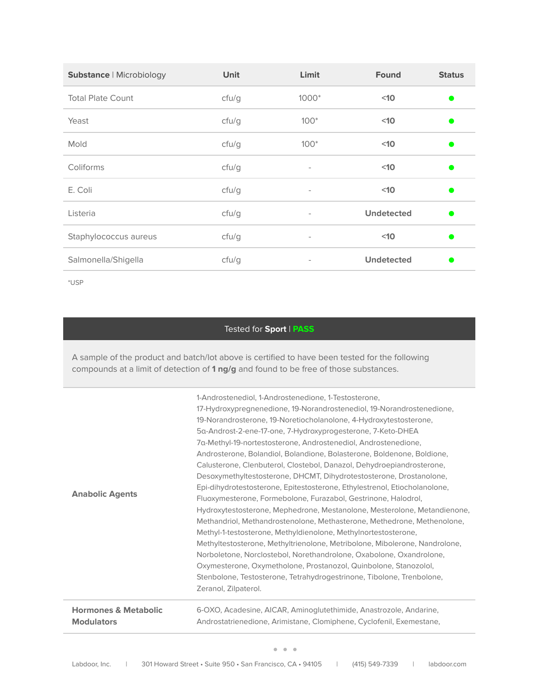| <b>Substance   Microbiology</b> | <b>Unit</b> | Limit                    | <b>Found</b>      | <b>Status</b> |
|---------------------------------|-------------|--------------------------|-------------------|---------------|
| <b>Total Plate Count</b>        | cfu/g       | $1000*$                  | $10$              | $\bullet$     |
| Yeast                           | cfu/g       | $100*$                   | $10$              | $\bullet$     |
| Mold                            | cfu/g       | $100*$                   | $10$              | $\bullet$     |
| Coliforms                       | cfu/g       | $\overline{\phantom{a}}$ | $10$              | $\bullet$     |
| E. Coli                         | cfu/g       | $\overline{\phantom{a}}$ | $10$              | $\bullet$     |
| Listeria                        | cfu/g       | $\overline{\phantom{a}}$ | <b>Undetected</b> | $\bullet$     |
| Staphylococcus aureus           | cfu/g       | $\overline{\phantom{a}}$ | $10$              | $\bullet$     |
| Salmonella/Shigella             | cfu/g       | $\overline{\phantom{a}}$ | <b>Undetected</b> | O             |

\*USP

## Tested for **Sport** | **PASS**

A sample of the product and batch/lot above is certified to have been tested for the following compounds at a limit of detection of **1 ng/g** and found to be free of those substances.

|                                 | 1-Androstenediol, 1-Androstenedione, 1-Testosterone,                       |
|---------------------------------|----------------------------------------------------------------------------|
|                                 | 17-Hydroxypregnenedione, 19-Norandrostenediol, 19-Norandrostenedione,      |
|                                 | 19-Norandrosterone, 19-Noretiocholanolone, 4-Hydroxytestosterone,          |
|                                 | 5a-Androst-2-ene-17-one, 7-Hydroxyprogesterone, 7-Keto-DHEA                |
|                                 | 7a-Methyl-19-nortestosterone, Androstenediol, Androstenedione,             |
|                                 | Androsterone, Bolandiol, Bolandione, Bolasterone, Boldenone, Boldione,     |
|                                 | Calusterone, Clenbuterol, Clostebol, Danazol, Dehydroepiandrosterone,      |
|                                 | Desoxymethyltestosterone, DHCMT, Dihydrotestosterone, Drostanolone,        |
|                                 | Epi-dihydrotestosterone, Epitestosterone, Ethylestrenol, Etiocholanolone,  |
| <b>Anabolic Agents</b>          | Fluoxymesterone, Formebolone, Furazabol, Gestrinone, Halodrol,             |
|                                 | Hydroxytestosterone, Mephedrone, Mestanolone, Mesterolone, Metandienone,   |
|                                 | Methandriol, Methandrostenolone, Methasterone, Methedrone, Methenolone,    |
|                                 | Methyl-1-testosterone, Methyldienolone, Methylnortestosterone,             |
|                                 | Methyltestosterone, Methyltrienolone, Metribolone, Mibolerone, Nandrolone, |
|                                 | Norboletone, Norclostebol, Norethandrolone, Oxabolone, Oxandrolone,        |
|                                 | Oxymesterone, Oxymetholone, Prostanozol, Quinbolone, Stanozolol,           |
|                                 | Stenbolone, Testosterone, Tetrahydrogestrinone, Tibolone, Trenbolone,      |
|                                 | Zeranol, Zilpaterol.                                                       |
| <b>Hormones &amp; Metabolic</b> | 6-OXO, Acadesine, AICAR, Aminoglutethimide, Anastrozole, Andarine,         |
| <b>Modulators</b>               | Androstatrienedione, Arimistane, Clomiphene, Cyclofenil, Exemestane,       |
|                                 |                                                                            |

• • •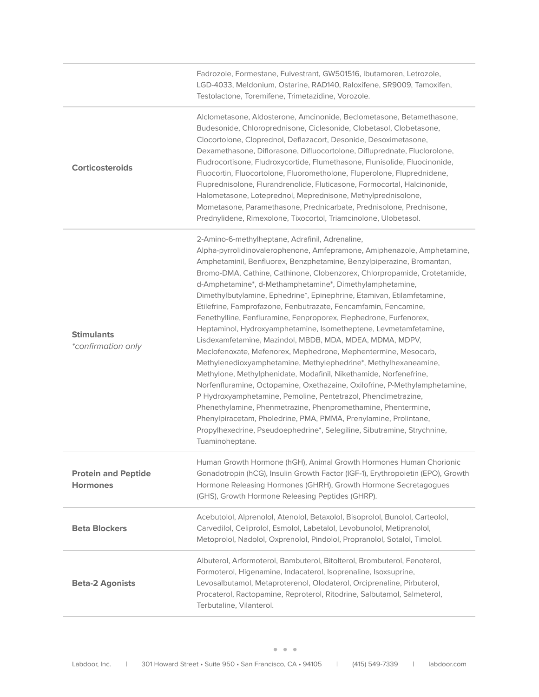|                                               | Fadrozole, Formestane, Fulvestrant, GW501516, Ibutamoren, Letrozole,<br>LGD-4033, Meldonium, Ostarine, RAD140, Raloxifene, SR9009, Tamoxifen,<br>Testolactone, Toremifene, Trimetazidine, Vorozole.                                                                                                                                                                                                                                                                                                                                                                                                                                                                                                                                                                                                                                                                                                                                                                                                                                                                                                                                                                                                                                                                                       |
|-----------------------------------------------|-------------------------------------------------------------------------------------------------------------------------------------------------------------------------------------------------------------------------------------------------------------------------------------------------------------------------------------------------------------------------------------------------------------------------------------------------------------------------------------------------------------------------------------------------------------------------------------------------------------------------------------------------------------------------------------------------------------------------------------------------------------------------------------------------------------------------------------------------------------------------------------------------------------------------------------------------------------------------------------------------------------------------------------------------------------------------------------------------------------------------------------------------------------------------------------------------------------------------------------------------------------------------------------------|
| <b>Corticosteroids</b>                        | Alclometasone, Aldosterone, Amcinonide, Beclometasone, Betamethasone,<br>Budesonide, Chloroprednisone, Ciclesonide, Clobetasol, Clobetasone,<br>Clocortolone, Cloprednol, Deflazacort, Desonide, Desoximetasone,<br>Dexamethasone, Diflorasone, Difluocortolone, Difluprednate, Fluclorolone,<br>Fludrocortisone, Fludroxycortide, Flumethasone, Flunisolide, Fluocinonide,<br>Fluocortin, Fluocortolone, Fluorometholone, Fluperolone, Fluprednidene,<br>Fluprednisolone, Flurandrenolide, Fluticasone, Formocortal, Halcinonide,<br>Halometasone, Loteprednol, Meprednisone, Methylprednisolone,<br>Mometasone, Paramethasone, Prednicarbate, Prednisolone, Prednisone,<br>Prednylidene, Rimexolone, Tixocortol, Triamcinolone, Ulobetasol.                                                                                                                                                                                                                                                                                                                                                                                                                                                                                                                                             |
| <b>Stimulants</b><br>*confirmation only       | 2-Amino-6-methylheptane, Adrafinil, Adrenaline,<br>Alpha-pyrrolidinovalerophenone, Amfepramone, Amiphenazole, Amphetamine,<br>Amphetaminil, Benfluorex, Benzphetamine, Benzylpiperazine, Bromantan,<br>Bromo-DMA, Cathine, Cathinone, Clobenzorex, Chlorpropamide, Crotetamide,<br>d-Amphetamine*, d-Methamphetamine*, Dimethylamphetamine,<br>Dimethylbutylamine, Ephedrine*, Epinephrine, Etamivan, Etilamfetamine,<br>Etilefrine, Famprofazone, Fenbutrazate, Fencamfamin, Fencamine,<br>Fenethylline, Fenfluramine, Fenproporex, Flephedrone, Furfenorex,<br>Heptaminol, Hydroxyamphetamine, Isometheptene, Levmetamfetamine,<br>Lisdexamfetamine, Mazindol, MBDB, MDA, MDEA, MDMA, MDPV,<br>Meclofenoxate, Mefenorex, Mephedrone, Mephentermine, Mesocarb,<br>Methylenedioxyamphetamine, Methylephedrine*, Methylhexaneamine,<br>Methylone, Methylphenidate, Modafinil, Nikethamide, Norfenefrine,<br>Norfenfluramine, Octopamine, Oxethazaine, Oxilofrine, P-Methylamphetamine,<br>P Hydroxyamphetamine, Pemoline, Pentetrazol, Phendimetrazine,<br>Phenethylamine, Phenmetrazine, Phenpromethamine, Phentermine,<br>Phenylpiracetam, Pholedrine, PMA, PMMA, Prenylamine, Prolintane,<br>Propylhexedrine, Pseudoephedrine*, Selegiline, Sibutramine, Strychnine,<br>Tuaminoheptane. |
| <b>Protein and Peptide</b><br><b>Hormones</b> | Human Growth Hormone (hGH), Animal Growth Hormones Human Chorionic<br>Gonadotropin (hCG), Insulin Growth Factor (IGF-1), Erythropoietin (EPO), Growth<br>Hormone Releasing Hormones (GHRH), Growth Hormone Secretagogues<br>(GHS), Growth Hormone Releasing Peptides (GHRP).                                                                                                                                                                                                                                                                                                                                                                                                                                                                                                                                                                                                                                                                                                                                                                                                                                                                                                                                                                                                              |
| <b>Beta Blockers</b>                          | Acebutolol, Alprenolol, Atenolol, Betaxolol, Bisoprolol, Bunolol, Carteolol,<br>Carvedilol, Celiprolol, Esmolol, Labetalol, Levobunolol, Metipranolol,<br>Metoprolol, Nadolol, Oxprenolol, Pindolol, Propranolol, Sotalol, Timolol.                                                                                                                                                                                                                                                                                                                                                                                                                                                                                                                                                                                                                                                                                                                                                                                                                                                                                                                                                                                                                                                       |
| <b>Beta-2 Agonists</b>                        | Albuterol, Arformoterol, Bambuterol, Bitolterol, Brombuterol, Fenoterol,<br>Formoterol, Higenamine, Indacaterol, Isoprenaline, Isoxsuprine,<br>Levosalbutamol, Metaproterenol, Olodaterol, Orciprenaline, Pirbuterol,<br>Procaterol, Ractopamine, Reproterol, Ritodrine, Salbutamol, Salmeterol,<br>Terbutaline, Vilanterol.                                                                                                                                                                                                                                                                                                                                                                                                                                                                                                                                                                                                                                                                                                                                                                                                                                                                                                                                                              |